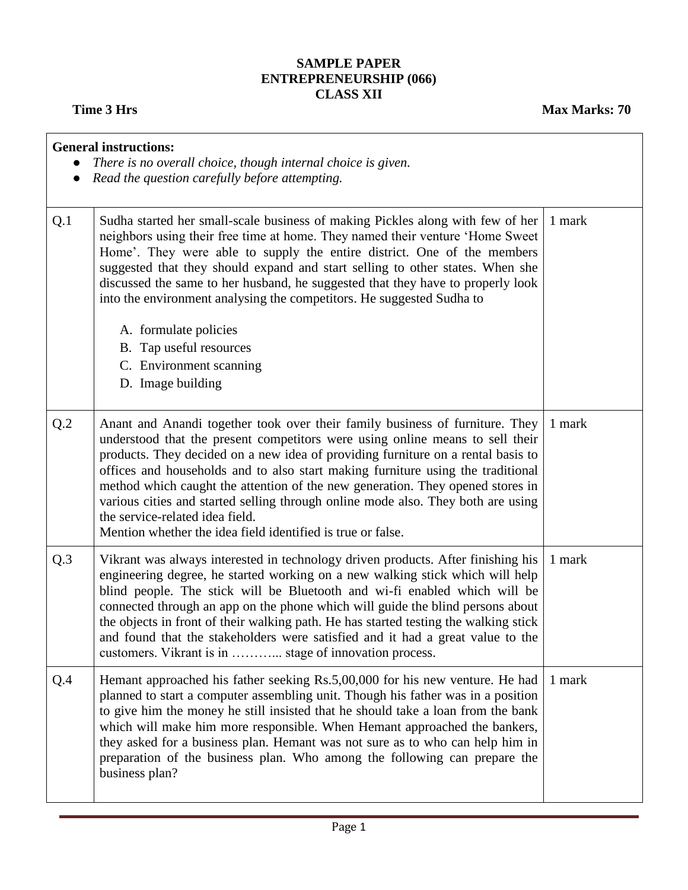## **SAMPLE PAPER ENTREPRENEURSHIP (066) CLASS XII**

**Time 3 Hrs** Max Marks: 70

|     | <b>General instructions:</b><br>There is no overall choice, though internal choice is given.<br>Read the question carefully before attempting.                                                                                                                                                                                                                                                                                                                                                                                                                                                               |        |  |  |  |
|-----|--------------------------------------------------------------------------------------------------------------------------------------------------------------------------------------------------------------------------------------------------------------------------------------------------------------------------------------------------------------------------------------------------------------------------------------------------------------------------------------------------------------------------------------------------------------------------------------------------------------|--------|--|--|--|
| Q.1 | Sudha started her small-scale business of making Pickles along with few of her<br>neighbors using their free time at home. They named their venture 'Home Sweet<br>Home'. They were able to supply the entire district. One of the members<br>suggested that they should expand and start selling to other states. When she<br>discussed the same to her husband, he suggested that they have to properly look<br>into the environment analysing the competitors. He suggested Sudha to<br>A. formulate policies<br>B. Tap useful resources<br>C. Environment scanning<br>D. Image building                  | 1 mark |  |  |  |
| Q.2 | Anant and Anandi together took over their family business of furniture. They<br>understood that the present competitors were using online means to sell their<br>products. They decided on a new idea of providing furniture on a rental basis to<br>offices and households and to also start making furniture using the traditional<br>method which caught the attention of the new generation. They opened stores in<br>various cities and started selling through online mode also. They both are using<br>the service-related idea field.<br>Mention whether the idea field identified is true or false. | 1 mark |  |  |  |
| Q.3 | Vikrant was always interested in technology driven products. After finishing his<br>engineering degree, he started working on a new walking stick which will help<br>blind people. The stick will be Bluetooth and wi-fi enabled which will be<br>connected through an app on the phone which will guide the blind persons about<br>the objects in front of their walking path. He has started testing the walking stick<br>and found that the stakeholders were satisfied and it had a great value to the<br>customers. Vikrant is in  stage of innovation process.                                         | 1 mark |  |  |  |
| Q.4 | Hemant approached his father seeking Rs.5,00,000 for his new venture. He had<br>planned to start a computer assembling unit. Though his father was in a position<br>to give him the money he still insisted that he should take a loan from the bank<br>which will make him more responsible. When Hemant approached the bankers,<br>they asked for a business plan. Hemant was not sure as to who can help him in<br>preparation of the business plan. Who among the following can prepare the<br>business plan?                                                                                            | 1 mark |  |  |  |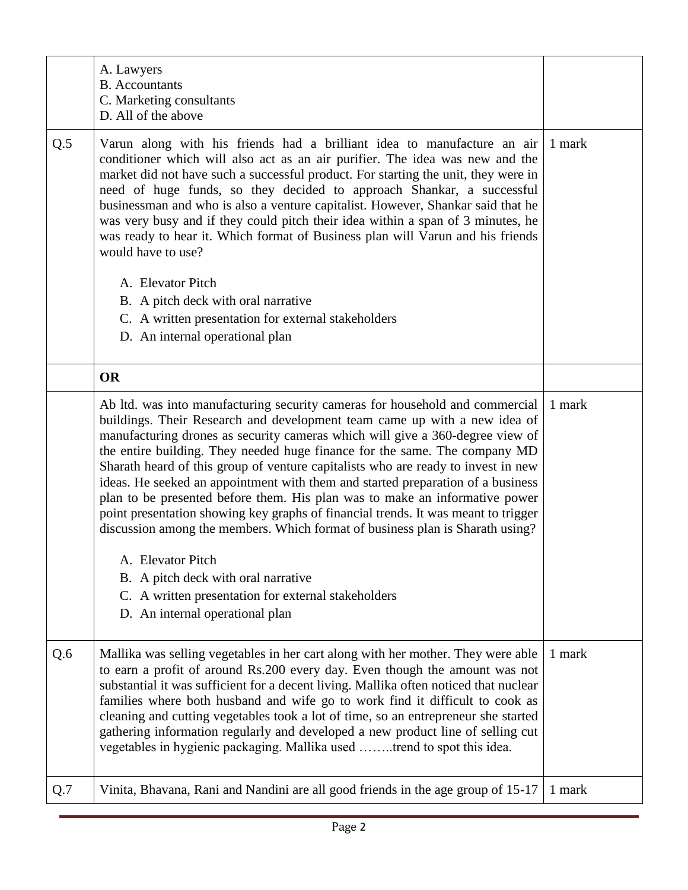|     | A. Lawyers<br><b>B.</b> Accountants<br>C. Marketing consultants<br>D. All of the above                                                                                                                                                                                                                                                                                                                                                                                                                                                                                                                                                                                                                                                                                                                             |        |
|-----|--------------------------------------------------------------------------------------------------------------------------------------------------------------------------------------------------------------------------------------------------------------------------------------------------------------------------------------------------------------------------------------------------------------------------------------------------------------------------------------------------------------------------------------------------------------------------------------------------------------------------------------------------------------------------------------------------------------------------------------------------------------------------------------------------------------------|--------|
| Q.5 | Varun along with his friends had a brilliant idea to manufacture an air<br>conditioner which will also act as an air purifier. The idea was new and the<br>market did not have such a successful product. For starting the unit, they were in<br>need of huge funds, so they decided to approach Shankar, a successful<br>businessman and who is also a venture capitalist. However, Shankar said that he<br>was very busy and if they could pitch their idea within a span of 3 minutes, he<br>was ready to hear it. Which format of Business plan will Varun and his friends<br>would have to use?                                                                                                                                                                                                               | 1 mark |
|     | A. Elevator Pitch                                                                                                                                                                                                                                                                                                                                                                                                                                                                                                                                                                                                                                                                                                                                                                                                  |        |
|     | B. A pitch deck with oral narrative<br>C. A written presentation for external stakeholders                                                                                                                                                                                                                                                                                                                                                                                                                                                                                                                                                                                                                                                                                                                         |        |
|     | D. An internal operational plan                                                                                                                                                                                                                                                                                                                                                                                                                                                                                                                                                                                                                                                                                                                                                                                    |        |
|     | <b>OR</b>                                                                                                                                                                                                                                                                                                                                                                                                                                                                                                                                                                                                                                                                                                                                                                                                          |        |
|     | Ab ltd. was into manufacturing security cameras for household and commercial<br>buildings. Their Research and development team came up with a new idea of<br>manufacturing drones as security cameras which will give a 360-degree view of<br>the entire building. They needed huge finance for the same. The company MD<br>Sharath heard of this group of venture capitalists who are ready to invest in new<br>ideas. He seeked an appointment with them and started preparation of a business<br>plan to be presented before them. His plan was to make an informative power<br>point presentation showing key graphs of financial trends. It was meant to trigger<br>discussion among the members. Which format of business plan is Sharath using?<br>A. Elevator Pitch<br>B. A pitch deck with oral narrative | 1 mark |
|     | C. A written presentation for external stakeholders<br>D. An internal operational plan                                                                                                                                                                                                                                                                                                                                                                                                                                                                                                                                                                                                                                                                                                                             |        |
| Q.6 | Mallika was selling vegetables in her cart along with her mother. They were able<br>to earn a profit of around Rs.200 every day. Even though the amount was not<br>substantial it was sufficient for a decent living. Mallika often noticed that nuclear<br>families where both husband and wife go to work find it difficult to cook as<br>cleaning and cutting vegetables took a lot of time, so an entrepreneur she started<br>gathering information regularly and developed a new product line of selling cut<br>vegetables in hygienic packaging. Mallika used trend to spot this idea.                                                                                                                                                                                                                       | 1 mark |
| Q.7 | Vinita, Bhavana, Rani and Nandini are all good friends in the age group of 15-17                                                                                                                                                                                                                                                                                                                                                                                                                                                                                                                                                                                                                                                                                                                                   | 1 mark |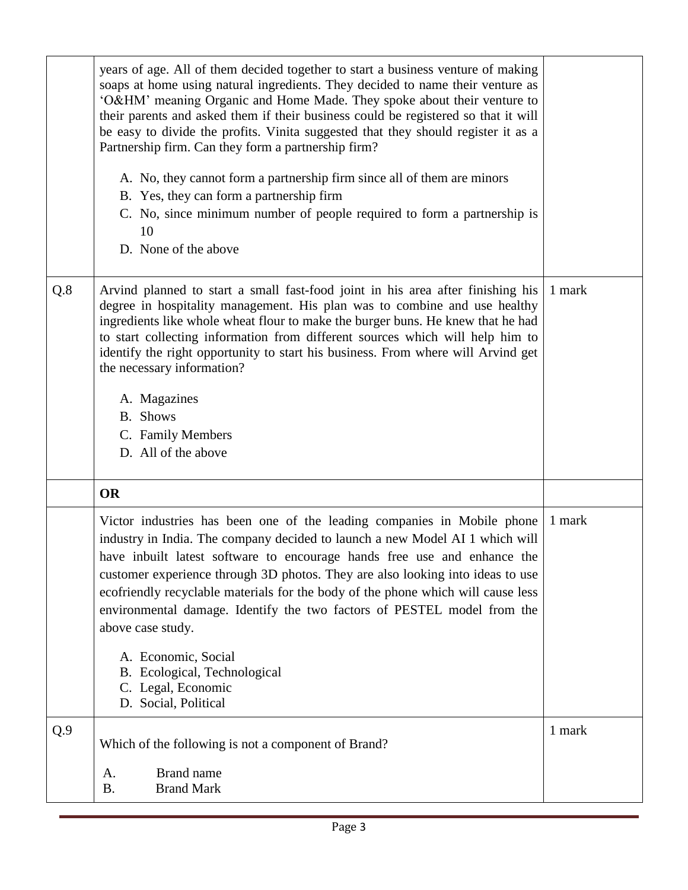|     | years of age. All of them decided together to start a business venture of making<br>soaps at home using natural ingredients. They decided to name their venture as<br>'O&HM' meaning Organic and Home Made. They spoke about their venture to<br>their parents and asked them if their business could be registered so that it will<br>be easy to divide the profits. Vinita suggested that they should register it as a<br>Partnership firm. Can they form a partnership firm?<br>A. No, they cannot form a partnership firm since all of them are minors<br>B. Yes, they can form a partnership firm<br>C. No, since minimum number of people required to form a partnership is<br>10<br>D. None of the above |        |
|-----|-----------------------------------------------------------------------------------------------------------------------------------------------------------------------------------------------------------------------------------------------------------------------------------------------------------------------------------------------------------------------------------------------------------------------------------------------------------------------------------------------------------------------------------------------------------------------------------------------------------------------------------------------------------------------------------------------------------------|--------|
| Q.8 | Arvind planned to start a small fast-food joint in his area after finishing his<br>degree in hospitality management. His plan was to combine and use healthy<br>ingredients like whole wheat flour to make the burger buns. He knew that he had<br>to start collecting information from different sources which will help him to<br>identify the right opportunity to start his business. From where will Arvind get<br>the necessary information?<br>A. Magazines<br><b>B.</b> Shows<br>C. Family Members<br>D. All of the above                                                                                                                                                                               | 1 mark |
|     | <b>OR</b>                                                                                                                                                                                                                                                                                                                                                                                                                                                                                                                                                                                                                                                                                                       |        |
|     | Victor industries has been one of the leading companies in Mobile phone<br>industry in India. The company decided to launch a new Model AI 1 which will<br>have inbuilt latest software to encourage hands free use and enhance the<br>customer experience through 3D photos. They are also looking into ideas to use<br>ecofriendly recyclable materials for the body of the phone which will cause less<br>environmental damage. Identify the two factors of PESTEL model from the<br>above case study.<br>A. Economic, Social<br>B. Ecological, Technological                                                                                                                                                | 1 mark |
|     | C. Legal, Economic<br>D. Social, Political                                                                                                                                                                                                                                                                                                                                                                                                                                                                                                                                                                                                                                                                      |        |
| Q.9 | Which of the following is not a component of Brand?                                                                                                                                                                                                                                                                                                                                                                                                                                                                                                                                                                                                                                                             | 1 mark |
|     | <b>Brand name</b><br>A.<br><b>B.</b><br><b>Brand Mark</b>                                                                                                                                                                                                                                                                                                                                                                                                                                                                                                                                                                                                                                                       |        |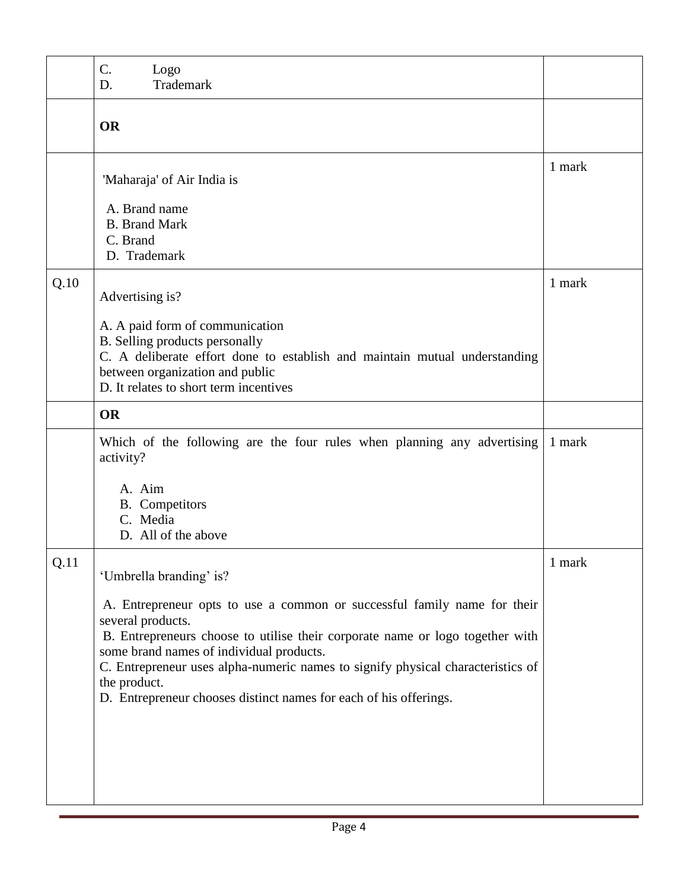|      | C.<br>Logo<br>Trademark<br>D.                                                                                                                                                                                                                                                                                                                                                                      |        |
|------|----------------------------------------------------------------------------------------------------------------------------------------------------------------------------------------------------------------------------------------------------------------------------------------------------------------------------------------------------------------------------------------------------|--------|
|      | <b>OR</b>                                                                                                                                                                                                                                                                                                                                                                                          |        |
|      | 'Maharaja' of Air India is<br>A. Brand name                                                                                                                                                                                                                                                                                                                                                        | 1 mark |
|      | <b>B.</b> Brand Mark<br>C. Brand<br>D. Trademark                                                                                                                                                                                                                                                                                                                                                   |        |
| Q.10 | Advertising is?                                                                                                                                                                                                                                                                                                                                                                                    | 1 mark |
|      | A. A paid form of communication<br>B. Selling products personally<br>C. A deliberate effort done to establish and maintain mutual understanding<br>between organization and public<br>D. It relates to short term incentives                                                                                                                                                                       |        |
|      | <b>OR</b>                                                                                                                                                                                                                                                                                                                                                                                          |        |
|      | Which of the following are the four rules when planning any advertising<br>activity?                                                                                                                                                                                                                                                                                                               | 1 mark |
|      | A. Aim<br><b>B.</b> Competitors<br>C. Media<br>D. All of the above                                                                                                                                                                                                                                                                                                                                 |        |
| Q.11 | 'Umbrella branding' is?                                                                                                                                                                                                                                                                                                                                                                            | 1 mark |
|      | A. Entrepreneur opts to use a common or successful family name for their<br>several products.<br>B. Entrepreneurs choose to utilise their corporate name or logo together with<br>some brand names of individual products.<br>C. Entrepreneur uses alpha-numeric names to signify physical characteristics of<br>the product.<br>D. Entrepreneur chooses distinct names for each of his offerings. |        |
|      |                                                                                                                                                                                                                                                                                                                                                                                                    |        |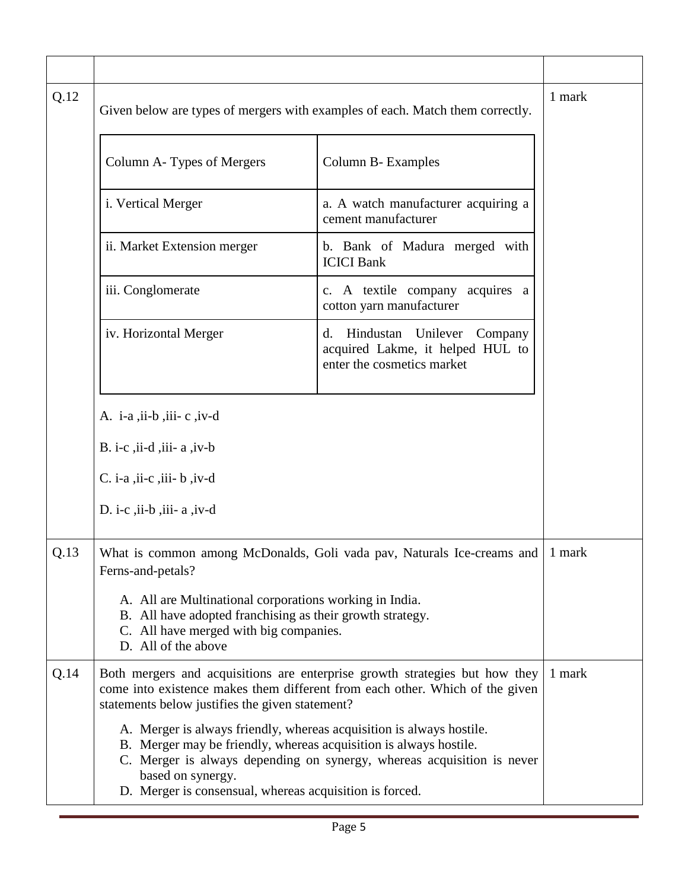| Q.12 | Given below are types of mergers with examples of each. Match them correctly.                                                                                                                                                                                                                       |                                                                                                          |        |  |  |
|------|-----------------------------------------------------------------------------------------------------------------------------------------------------------------------------------------------------------------------------------------------------------------------------------------------------|----------------------------------------------------------------------------------------------------------|--------|--|--|
|      | Column A-Types of Mergers                                                                                                                                                                                                                                                                           | Column B- Examples                                                                                       |        |  |  |
|      | i. Vertical Merger                                                                                                                                                                                                                                                                                  | a. A watch manufacturer acquiring a<br>cement manufacturer                                               |        |  |  |
|      | ii. Market Extension merger                                                                                                                                                                                                                                                                         | b. Bank of Madura merged with<br><b>ICICI Bank</b>                                                       |        |  |  |
|      | iii. Conglomerate                                                                                                                                                                                                                                                                                   | c. A textile company<br>acquires a<br>cotton yarn manufacturer                                           |        |  |  |
|      | iv. Horizontal Merger                                                                                                                                                                                                                                                                               | Hindustan<br>Unilever<br>Company<br>d.<br>acquired Lakme, it helped HUL to<br>enter the cosmetics market |        |  |  |
|      | A. $i$ -a, $i$ i-b, $i$ ii-c, $i$ v-d                                                                                                                                                                                                                                                               |                                                                                                          |        |  |  |
|      | B. i-c, $\overline{ii}$ -d, $\overline{iii}$ - a, $\overline{iv}$ -b                                                                                                                                                                                                                                |                                                                                                          |        |  |  |
|      | $C.$ i-a , ii-c , iii- b , iv-d                                                                                                                                                                                                                                                                     |                                                                                                          |        |  |  |
|      | D. i-c , ii-b , iii- $a$ , iv-d                                                                                                                                                                                                                                                                     |                                                                                                          |        |  |  |
| Q.13 | Ferns-and-petals?                                                                                                                                                                                                                                                                                   | What is common among McDonalds, Goli vada pav, Naturals Ice-creams and                                   | 1 mark |  |  |
|      | A. All are Multinational corporations working in India.<br>B. All have adopted franchising as their growth strategy.<br>C. All have merged with big companies.<br>D. All of the above                                                                                                               |                                                                                                          |        |  |  |
| Q.14 | Both mergers and acquisitions are enterprise growth strategies but how they<br>come into existence makes them different from each other. Which of the given<br>statements below justifies the given statement?                                                                                      | 1 mark                                                                                                   |        |  |  |
|      | A. Merger is always friendly, whereas acquisition is always hostile.<br>B. Merger may be friendly, whereas acquisition is always hostile.<br>C. Merger is always depending on synergy, whereas acquisition is never<br>based on synergy.<br>D. Merger is consensual, whereas acquisition is forced. |                                                                                                          |        |  |  |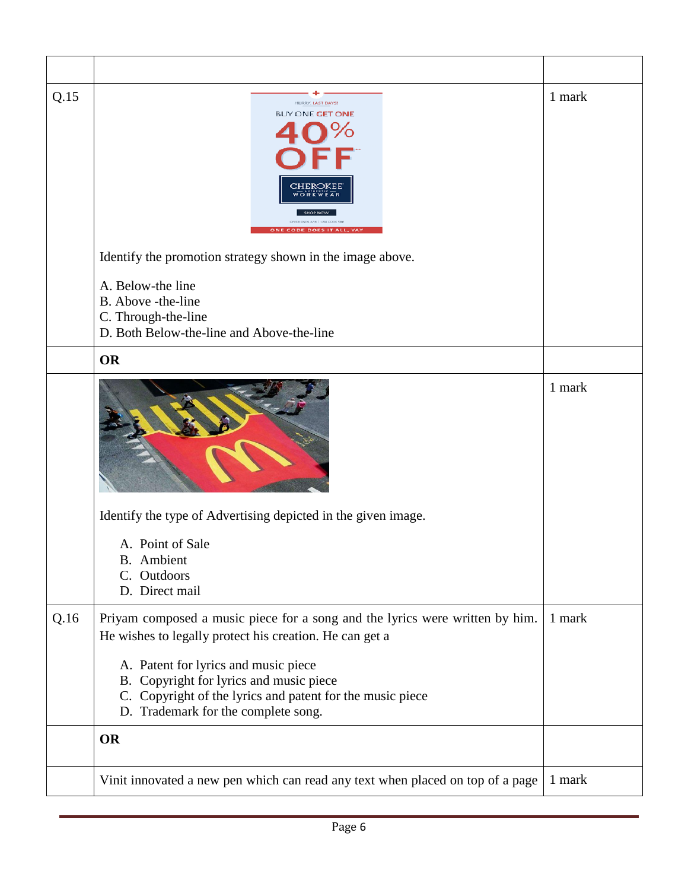| Q.15 | HURRY, LAST DAYS!<br><b>BUY ONE GET ONE</b><br><b>CODE DOES IT ALL</b><br>Identify the promotion strategy shown in the image above.<br>A. Below-the line<br>B. Above -the-line<br>C. Through-the-line<br>D. Both Below-the-line and Above-the-line | 1 mark |
|------|----------------------------------------------------------------------------------------------------------------------------------------------------------------------------------------------------------------------------------------------------|--------|
|      | <b>OR</b>                                                                                                                                                                                                                                          |        |
|      | Identify the type of Advertising depicted in the given image.<br>A. Point of Sale                                                                                                                                                                  | 1 mark |
|      | <b>B.</b> Ambient<br>C. Outdoors<br>D. Direct mail                                                                                                                                                                                                 |        |
| Q.16 | Priyam composed a music piece for a song and the lyrics were written by him.<br>He wishes to legally protect his creation. He can get a                                                                                                            | 1 mark |
|      | A. Patent for lyrics and music piece<br>B. Copyright for lyrics and music piece<br>C. Copyright of the lyrics and patent for the music piece<br>D. Trademark for the complete song.                                                                |        |
|      | <b>OR</b>                                                                                                                                                                                                                                          |        |
|      | Vinit innovated a new pen which can read any text when placed on top of a page                                                                                                                                                                     | 1 mark |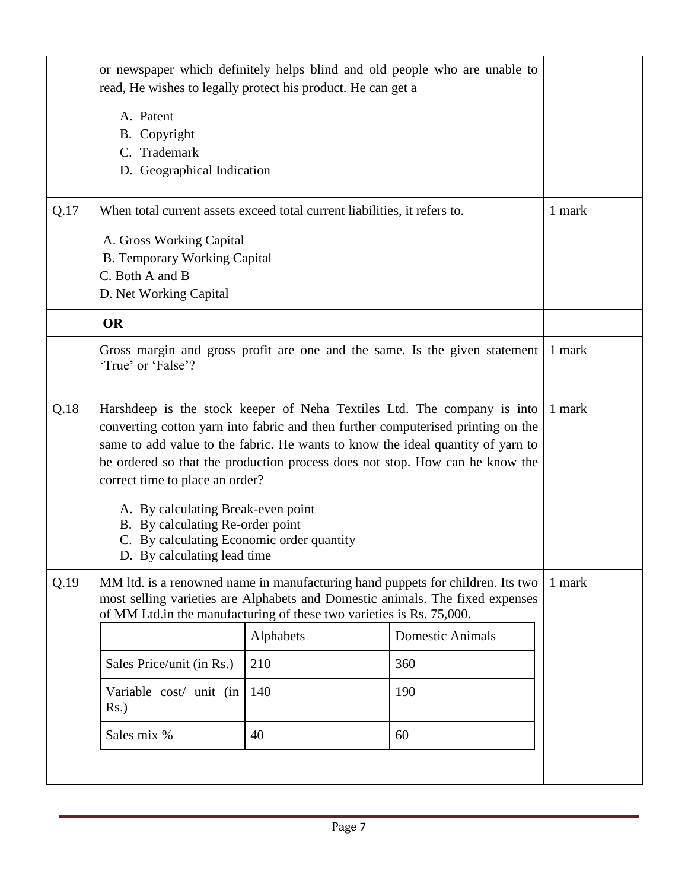|      | or newspaper which definitely helps blind and old people who are unable to<br>read, He wishes to legally protect his product. He can get a                                                                                                                                                                                                                                                                                                                                                                              |           |                         |  |  |
|------|-------------------------------------------------------------------------------------------------------------------------------------------------------------------------------------------------------------------------------------------------------------------------------------------------------------------------------------------------------------------------------------------------------------------------------------------------------------------------------------------------------------------------|-----------|-------------------------|--|--|
|      | A. Patent<br>B. Copyright<br>C. Trademark<br>D. Geographical Indication                                                                                                                                                                                                                                                                                                                                                                                                                                                 |           |                         |  |  |
| Q.17 | When total current assets exceed total current liabilities, it refers to.<br>A. Gross Working Capital<br><b>B.</b> Temporary Working Capital<br>C. Both A and B<br>D. Net Working Capital                                                                                                                                                                                                                                                                                                                               | 1 mark    |                         |  |  |
|      | <b>OR</b>                                                                                                                                                                                                                                                                                                                                                                                                                                                                                                               |           |                         |  |  |
|      | Gross margin and gross profit are one and the same. Is the given statement<br>1 mark<br>'True' or 'False'?                                                                                                                                                                                                                                                                                                                                                                                                              |           |                         |  |  |
| Q.18 | Harshdeep is the stock keeper of Neha Textiles Ltd. The company is into<br>converting cotton yarn into fabric and then further computerised printing on the<br>same to add value to the fabric. He wants to know the ideal quantity of yarn to<br>be ordered so that the production process does not stop. How can he know the<br>correct time to place an order?<br>A. By calculating Break-even point<br>B. By calculating Re-order point<br>C. By calculating Economic order quantity<br>D. By calculating lead time |           |                         |  |  |
| Q.19 | MM ltd. is a renowned name in manufacturing hand puppets for children. Its two<br>most selling varieties are Alphabets and Domestic animals. The fixed expenses<br>of MM Ltd.in the manufacturing of these two varieties is Rs. 75,000.                                                                                                                                                                                                                                                                                 | 1 mark    |                         |  |  |
|      |                                                                                                                                                                                                                                                                                                                                                                                                                                                                                                                         | Alphabets | <b>Domestic Animals</b> |  |  |
|      | Sales Price/unit (in Rs.)                                                                                                                                                                                                                                                                                                                                                                                                                                                                                               | 210       | 360                     |  |  |
|      | Variable cost/ unit (in<br>$Rs.$ )                                                                                                                                                                                                                                                                                                                                                                                                                                                                                      | 140       | 190                     |  |  |
|      | 60                                                                                                                                                                                                                                                                                                                                                                                                                                                                                                                      |           |                         |  |  |
|      |                                                                                                                                                                                                                                                                                                                                                                                                                                                                                                                         |           |                         |  |  |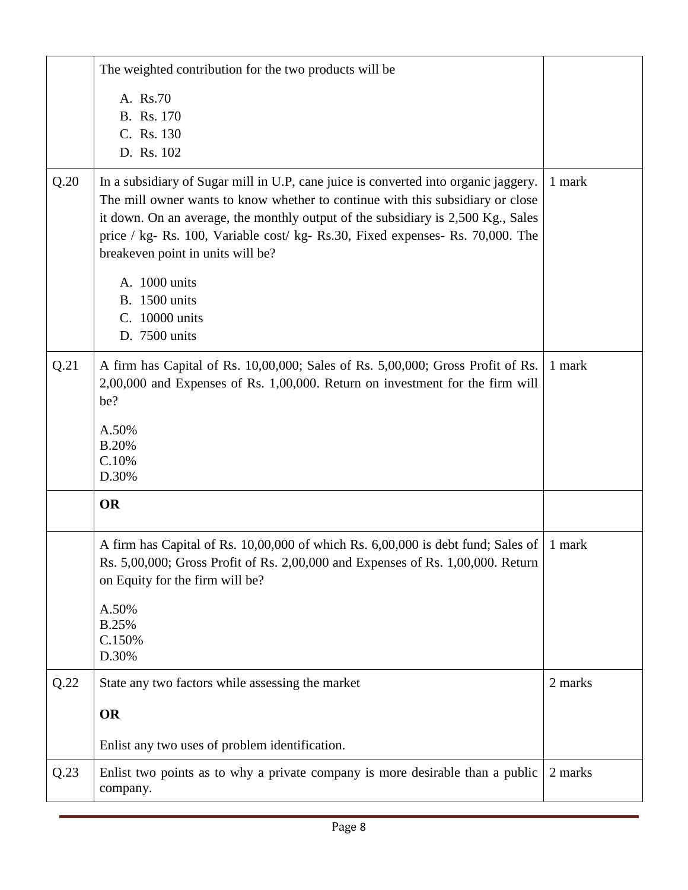|      | The weighted contribution for the two products will be                                                                                                                                                                                                                                                                                                                           |         |
|------|----------------------------------------------------------------------------------------------------------------------------------------------------------------------------------------------------------------------------------------------------------------------------------------------------------------------------------------------------------------------------------|---------|
|      | A. Rs.70<br>B. Rs. 170<br>C. Rs. 130                                                                                                                                                                                                                                                                                                                                             |         |
|      | D. Rs. 102                                                                                                                                                                                                                                                                                                                                                                       |         |
| Q.20 | In a subsidiary of Sugar mill in U.P, cane juice is converted into organic jaggery.<br>The mill owner wants to know whether to continue with this subsidiary or close<br>it down. On an average, the monthly output of the subsidiary is 2,500 Kg., Sales<br>price / kg- Rs. 100, Variable cost/ kg- Rs.30, Fixed expenses- Rs. 70,000. The<br>breakeven point in units will be? | 1 mark  |
|      | A. 1000 units<br><b>B.</b> 1500 units<br>C. 10000 units<br>D. 7500 units                                                                                                                                                                                                                                                                                                         |         |
| Q.21 | A firm has Capital of Rs. 10,00,000; Sales of Rs. 5,00,000; Gross Profit of Rs.<br>2,00,000 and Expenses of Rs. 1,00,000. Return on investment for the firm will<br>be?                                                                                                                                                                                                          | 1 mark  |
|      | A.50%<br><b>B.20%</b><br>C.10%<br>D.30%                                                                                                                                                                                                                                                                                                                                          |         |
|      | <b>OR</b>                                                                                                                                                                                                                                                                                                                                                                        |         |
|      | A firm has Capital of Rs. 10,00,000 of which Rs. 6,00,000 is debt fund; Sales of<br>Rs. 5,00,000; Gross Profit of Rs. 2,00,000 and Expenses of Rs. 1,00,000. Return<br>on Equity for the firm will be?                                                                                                                                                                           | 1 mark  |
|      | A.50%<br>B.25%<br>C.150%<br>D.30%                                                                                                                                                                                                                                                                                                                                                |         |
| Q.22 | State any two factors while assessing the market                                                                                                                                                                                                                                                                                                                                 | 2 marks |
|      | <b>OR</b>                                                                                                                                                                                                                                                                                                                                                                        |         |
|      | Enlist any two uses of problem identification.                                                                                                                                                                                                                                                                                                                                   |         |
| Q.23 | Enlist two points as to why a private company is more desirable than a public<br>company.                                                                                                                                                                                                                                                                                        | 2 marks |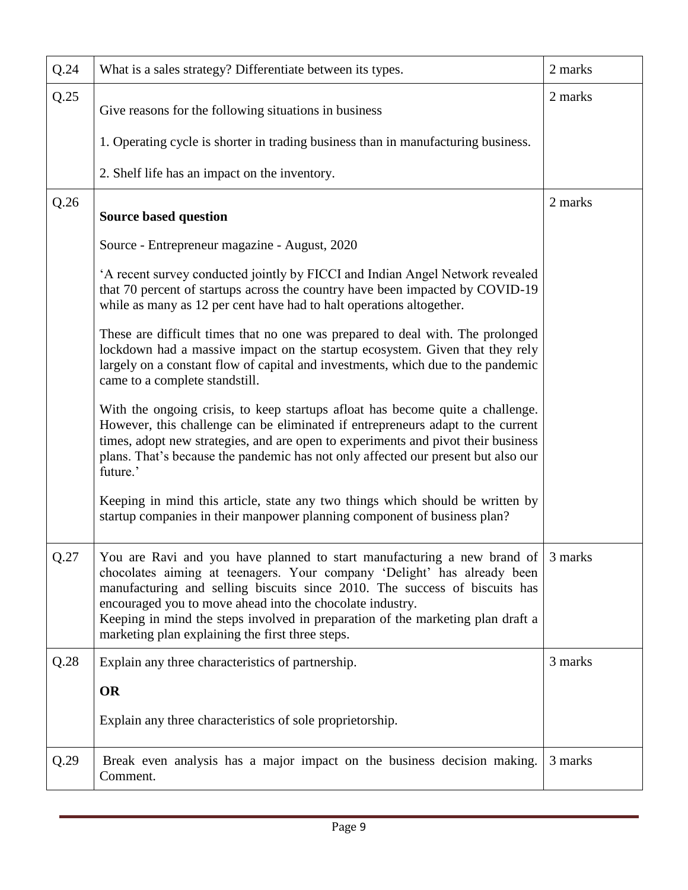| Q.24 | What is a sales strategy? Differentiate between its types.                                                                                                                                                                                                                                                                                                                                                                                   | 2 marks |
|------|----------------------------------------------------------------------------------------------------------------------------------------------------------------------------------------------------------------------------------------------------------------------------------------------------------------------------------------------------------------------------------------------------------------------------------------------|---------|
| Q.25 | Give reasons for the following situations in business                                                                                                                                                                                                                                                                                                                                                                                        | 2 marks |
|      | 1. Operating cycle is shorter in trading business than in manufacturing business.                                                                                                                                                                                                                                                                                                                                                            |         |
|      | 2. Shelf life has an impact on the inventory.                                                                                                                                                                                                                                                                                                                                                                                                |         |
| Q.26 | <b>Source based question</b>                                                                                                                                                                                                                                                                                                                                                                                                                 | 2 marks |
|      | Source - Entrepreneur magazine - August, 2020                                                                                                                                                                                                                                                                                                                                                                                                |         |
|      | 'A recent survey conducted jointly by FICCI and Indian Angel Network revealed<br>that 70 percent of startups across the country have been impacted by COVID-19<br>while as many as 12 per cent have had to halt operations altogether.                                                                                                                                                                                                       |         |
|      | These are difficult times that no one was prepared to deal with. The prolonged<br>lockdown had a massive impact on the startup ecosystem. Given that they rely<br>largely on a constant flow of capital and investments, which due to the pandemic<br>came to a complete standstill.                                                                                                                                                         |         |
|      | With the ongoing crisis, to keep startups afloat has become quite a challenge.<br>However, this challenge can be eliminated if entrepreneurs adapt to the current<br>times, adopt new strategies, and are open to experiments and pivot their business<br>plans. That's because the pandemic has not only affected our present but also our<br>future.'                                                                                      |         |
|      | Keeping in mind this article, state any two things which should be written by<br>startup companies in their manpower planning component of business plan?                                                                                                                                                                                                                                                                                    |         |
| Q.27 | You are Ravi and you have planned to start manufacturing a new brand of 3 marks<br>chocolates aiming at teenagers. Your company 'Delight' has already been<br>manufacturing and selling biscuits since 2010. The success of biscuits has<br>encouraged you to move ahead into the chocolate industry.<br>Keeping in mind the steps involved in preparation of the marketing plan draft a<br>marketing plan explaining the first three steps. |         |
| Q.28 | Explain any three characteristics of partnership.                                                                                                                                                                                                                                                                                                                                                                                            | 3 marks |
|      | <b>OR</b>                                                                                                                                                                                                                                                                                                                                                                                                                                    |         |
|      | Explain any three characteristics of sole proprietorship.                                                                                                                                                                                                                                                                                                                                                                                    |         |
| Q.29 | Break even analysis has a major impact on the business decision making.<br>Comment.                                                                                                                                                                                                                                                                                                                                                          | 3 marks |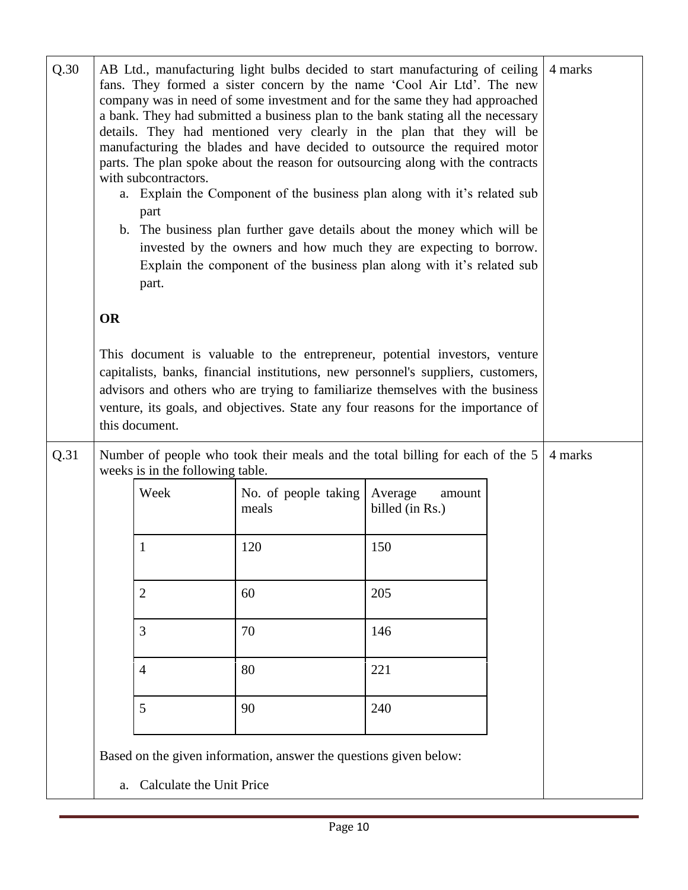| Q.30 | AB Ltd., manufacturing light bulbs decided to start manufacturing of ceiling<br>fans. They formed a sister concern by the name 'Cool Air Ltd'. The new<br>company was in need of some investment and for the same they had approached<br>a bank. They had submitted a business plan to the bank stating all the necessary<br>details. They had mentioned very clearly in the plan that they will be<br>manufacturing the blades and have decided to outsource the required motor<br>parts. The plan spoke about the reason for outsourcing along with the contracts<br>with subcontractors.<br>a. Explain the Component of the business plan along with it's related sub<br>part<br>b. The business plan further gave details about the money which will be<br>invested by the owners and how much they are expecting to borrow.<br>Explain the component of the business plan along with it's related sub<br>part. |                             |                                                                   |                                      |  | 4 marks |
|------|---------------------------------------------------------------------------------------------------------------------------------------------------------------------------------------------------------------------------------------------------------------------------------------------------------------------------------------------------------------------------------------------------------------------------------------------------------------------------------------------------------------------------------------------------------------------------------------------------------------------------------------------------------------------------------------------------------------------------------------------------------------------------------------------------------------------------------------------------------------------------------------------------------------------|-----------------------------|-------------------------------------------------------------------|--------------------------------------|--|---------|
|      | <b>OR</b>                                                                                                                                                                                                                                                                                                                                                                                                                                                                                                                                                                                                                                                                                                                                                                                                                                                                                                           |                             |                                                                   |                                      |  |         |
|      | This document is valuable to the entrepreneur, potential investors, venture<br>capitalists, banks, financial institutions, new personnel's suppliers, customers,<br>advisors and others who are trying to familiarize themselves with the business<br>venture, its goals, and objectives. State any four reasons for the importance of<br>this document.                                                                                                                                                                                                                                                                                                                                                                                                                                                                                                                                                            |                             |                                                                   |                                      |  |         |
| Q.31 | Number of people who took their meals and the total billing for each of the 5<br>weeks is in the following table.                                                                                                                                                                                                                                                                                                                                                                                                                                                                                                                                                                                                                                                                                                                                                                                                   |                             |                                                                   |                                      |  | 4 marks |
|      | Week                                                                                                                                                                                                                                                                                                                                                                                                                                                                                                                                                                                                                                                                                                                                                                                                                                                                                                                |                             | No. of people taking<br>meals                                     | Average<br>amount<br>billed (in Rs.) |  |         |
|      | 1                                                                                                                                                                                                                                                                                                                                                                                                                                                                                                                                                                                                                                                                                                                                                                                                                                                                                                                   |                             | 120                                                               | 150                                  |  |         |
|      | $\overline{2}$                                                                                                                                                                                                                                                                                                                                                                                                                                                                                                                                                                                                                                                                                                                                                                                                                                                                                                      |                             | 60                                                                | 205                                  |  |         |
|      | 3                                                                                                                                                                                                                                                                                                                                                                                                                                                                                                                                                                                                                                                                                                                                                                                                                                                                                                                   |                             | 70                                                                | 146                                  |  |         |
|      | $\overline{4}$                                                                                                                                                                                                                                                                                                                                                                                                                                                                                                                                                                                                                                                                                                                                                                                                                                                                                                      |                             | 80                                                                | 221                                  |  |         |
|      | 5                                                                                                                                                                                                                                                                                                                                                                                                                                                                                                                                                                                                                                                                                                                                                                                                                                                                                                                   |                             | 90                                                                | 240                                  |  |         |
|      |                                                                                                                                                                                                                                                                                                                                                                                                                                                                                                                                                                                                                                                                                                                                                                                                                                                                                                                     | a. Calculate the Unit Price | Based on the given information, answer the questions given below: |                                      |  |         |

Page 10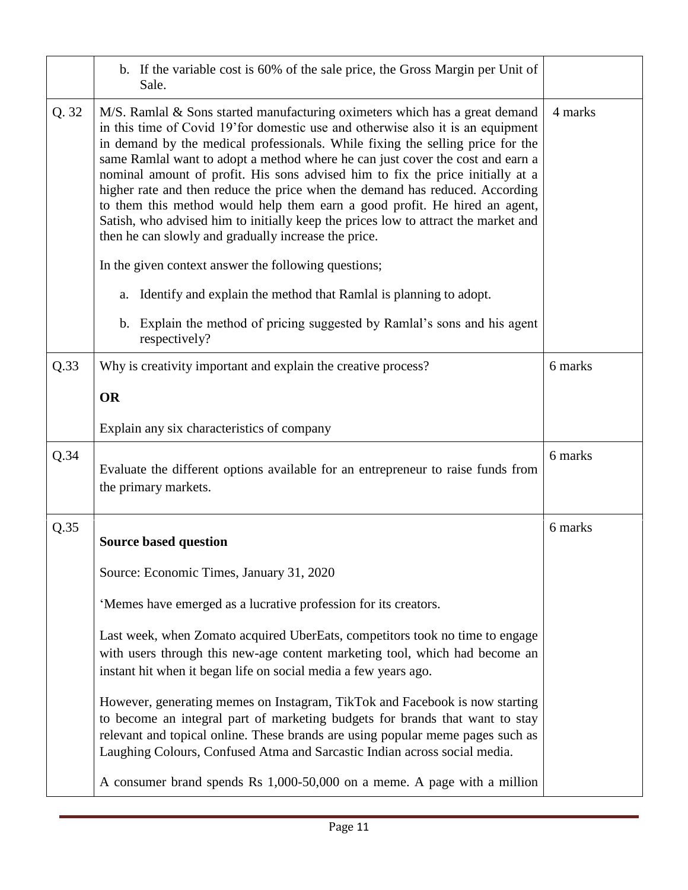|       | b. If the variable cost is 60% of the sale price, the Gross Margin per Unit of<br>Sale.                                                                                                                                                                                                                                                                                                                                                                                                                                                                                                                                                                                                                                           |         |
|-------|-----------------------------------------------------------------------------------------------------------------------------------------------------------------------------------------------------------------------------------------------------------------------------------------------------------------------------------------------------------------------------------------------------------------------------------------------------------------------------------------------------------------------------------------------------------------------------------------------------------------------------------------------------------------------------------------------------------------------------------|---------|
| Q. 32 | M/S. Ramlal & Sons started manufacturing oximeters which has a great demand<br>in this time of Covid 19' for domestic use and otherwise also it is an equipment<br>in demand by the medical professionals. While fixing the selling price for the<br>same Ramlal want to adopt a method where he can just cover the cost and earn a<br>nominal amount of profit. His sons advised him to fix the price initially at a<br>higher rate and then reduce the price when the demand has reduced. According<br>to them this method would help them earn a good profit. He hired an agent,<br>Satish, who advised him to initially keep the prices low to attract the market and<br>then he can slowly and gradually increase the price. | 4 marks |
|       | In the given context answer the following questions;                                                                                                                                                                                                                                                                                                                                                                                                                                                                                                                                                                                                                                                                              |         |
|       | a. Identify and explain the method that Ramlal is planning to adopt.                                                                                                                                                                                                                                                                                                                                                                                                                                                                                                                                                                                                                                                              |         |
|       | b. Explain the method of pricing suggested by Ramlal's sons and his agent<br>respectively?                                                                                                                                                                                                                                                                                                                                                                                                                                                                                                                                                                                                                                        |         |
| Q.33  | Why is creativity important and explain the creative process?                                                                                                                                                                                                                                                                                                                                                                                                                                                                                                                                                                                                                                                                     | 6 marks |
|       | <b>OR</b>                                                                                                                                                                                                                                                                                                                                                                                                                                                                                                                                                                                                                                                                                                                         |         |
|       | Explain any six characteristics of company                                                                                                                                                                                                                                                                                                                                                                                                                                                                                                                                                                                                                                                                                        |         |
| Q.34  | Evaluate the different options available for an entrepreneur to raise funds from<br>the primary markets.                                                                                                                                                                                                                                                                                                                                                                                                                                                                                                                                                                                                                          | 6 marks |
| Q.35  | <b>Source based question</b>                                                                                                                                                                                                                                                                                                                                                                                                                                                                                                                                                                                                                                                                                                      | 6 marks |
|       | Source: Economic Times, January 31, 2020                                                                                                                                                                                                                                                                                                                                                                                                                                                                                                                                                                                                                                                                                          |         |
|       | 'Memes have emerged as a lucrative profession for its creators.                                                                                                                                                                                                                                                                                                                                                                                                                                                                                                                                                                                                                                                                   |         |
|       | Last week, when Zomato acquired UberEats, competitors took no time to engage<br>with users through this new-age content marketing tool, which had become an<br>instant hit when it began life on social media a few years ago.                                                                                                                                                                                                                                                                                                                                                                                                                                                                                                    |         |
|       | However, generating memes on Instagram, TikTok and Facebook is now starting<br>to become an integral part of marketing budgets for brands that want to stay<br>relevant and topical online. These brands are using popular meme pages such as<br>Laughing Colours, Confused Atma and Sarcastic Indian across social media.                                                                                                                                                                                                                                                                                                                                                                                                        |         |
|       | A consumer brand spends Rs 1,000-50,000 on a meme. A page with a million                                                                                                                                                                                                                                                                                                                                                                                                                                                                                                                                                                                                                                                          |         |